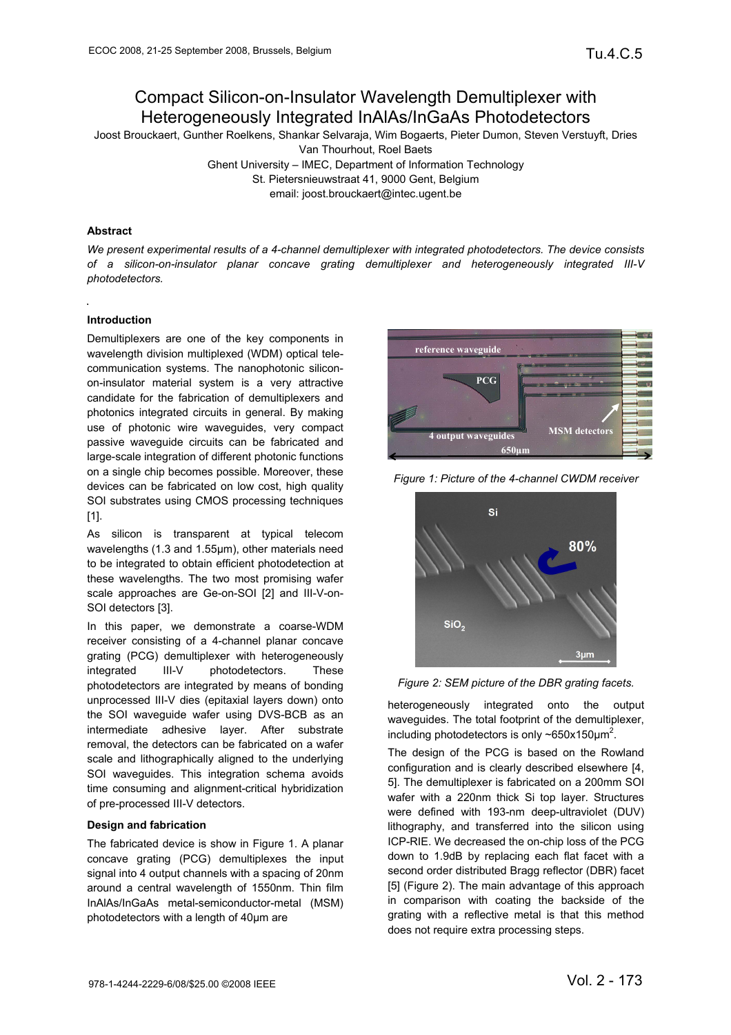# Compact Silicon-on-Insulator Wavelength Demultiplexer with Heterogeneously Integrated InAlAs/InGaAs Photodetectors

Joost Brouckaert, Gunther Roelkens, Shankar Selvaraja, Wim Bogaerts, Pieter Dumon, Steven Verstuyft, Dries Van Thourhout, Roel Baets

Ghent University – IMEC, Department of Information Technology

St. Pietersnieuwstraat 41, 9000 Gent, Belgium

email: joost.brouckaert@intec.ugent.be

## **Abstract**

*We present experimental results of a 4-channel demultiplexer with integrated photodetectors. The device consists of a silicon-on-insulator planar concave grating demultiplexer and heterogeneously integrated III-V photodetectors.* 

# **Introduction**

Demultiplexers are one of the key components in wavelength division multiplexed (WDM) optical telecommunication systems. The nanophotonic siliconon-insulator material system is a very attractive candidate for the fabrication of demultiplexers and photonics integrated circuits in general. By making use of photonic wire waveguides, very compact passive waveguide circuits can be fabricated and large-scale integration of different photonic functions on a single chip becomes possible. Moreover, these devices can be fabricated on low cost, high quality SOI substrates using CMOS processing techniques [1].

As silicon is transparent at typical telecom wavelengths (1.3 and 1.55µm), other materials need to be integrated to obtain efficient photodetection at these wavelengths. The two most promising wafer scale approaches are Ge-on-SOI [2] and III-V-on-SOI detectors [3].

In this paper, we demonstrate a coarse-WDM receiver consisting of a 4-channel planar concave grating (PCG) demultiplexer with heterogeneously integrated III-V photodetectors. These photodetectors are integrated by means of bonding unprocessed III-V dies (epitaxial layers down) onto the SOI waveguide wafer using DVS-BCB as an intermediate adhesive layer. After substrate removal, the detectors can be fabricated on a wafer scale and lithographically aligned to the underlying SOI waveguides. This integration schema avoids time consuming and alignment-critical hybridization of pre-processed III-V detectors.

## **Design and fabrication**

The fabricated device is show in Figure 1. A planar concave grating (PCG) demultiplexes the input signal into 4 output channels with a spacing of 20nm around a central wavelength of 1550nm. Thin film InAlAs/InGaAs metal-semiconductor-metal (MSM) photodetectors with a length of 40µm are



*Figure 1: Picture of the 4-channel CWDM receiver* 



*Figure 2: SEM picture of the DBR grating facets.* 

heterogeneously integrated onto the output waveguides. The total footprint of the demultiplexer, including photodetectors is only  $\sim$ 650x150 $\mu$ m<sup>2</sup>.

The design of the PCG is based on the Rowland configuration and is clearly described elsewhere [4, 5]. The demultiplexer is fabricated on a 200mm SOI wafer with a 220nm thick Si top layer. Structures were defined with 193-nm deep-ultraviolet (DUV) lithography, and transferred into the silicon using ICP-RIE. We decreased the on-chip loss of the PCG down to 1.9dB by replacing each flat facet with a second order distributed Bragg reflector (DBR) facet [5] (Figure 2). The main advantage of this approach in comparison with coating the backside of the grating with a reflective metal is that this method does not require extra processing steps.